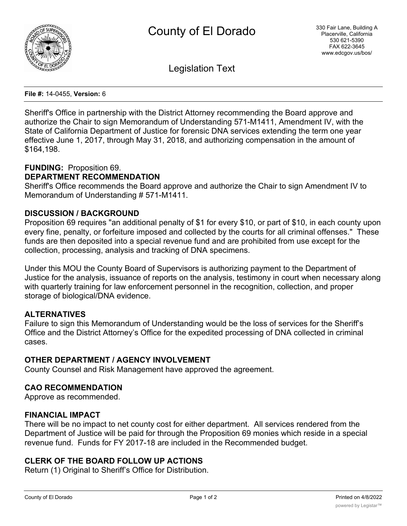

Legislation Text

#### **File #:** 14-0455, **Version:** 6

Sheriff's Office in partnership with the District Attorney recommending the Board approve and authorize the Chair to sign Memorandum of Understanding 571-M1411, Amendment IV, with the State of California Department of Justice for forensic DNA services extending the term one year effective June 1, 2017, through May 31, 2018, and authorizing compensation in the amount of \$164,198.

## **FUNDING:** Proposition 69.

## **DEPARTMENT RECOMMENDATION**

Sheriff's Office recommends the Board approve and authorize the Chair to sign Amendment IV to Memorandum of Understanding # 571-M1411.

## **DISCUSSION / BACKGROUND**

Proposition 69 requires "an additional penalty of \$1 for every \$10, or part of \$10, in each county upon every fine, penalty, or forfeiture imposed and collected by the courts for all criminal offenses." These funds are then deposited into a special revenue fund and are prohibited from use except for the collection, processing, analysis and tracking of DNA specimens.

Under this MOU the County Board of Supervisors is authorizing payment to the Department of Justice for the analysis, issuance of reports on the analysis, testimony in court when necessary along with quarterly training for law enforcement personnel in the recognition, collection, and proper storage of biological/DNA evidence.

### **ALTERNATIVES**

Failure to sign this Memorandum of Understanding would be the loss of services for the Sheriff's Office and the District Attorney's Office for the expedited processing of DNA collected in criminal cases.

### **OTHER DEPARTMENT / AGENCY INVOLVEMENT**

County Counsel and Risk Management have approved the agreement.

### **CAO RECOMMENDATION**

Approve as recommended.

### **FINANCIAL IMPACT**

There will be no impact to net county cost for either department. All services rendered from the Department of Justice will be paid for through the Proposition 69 monies which reside in a special revenue fund. Funds for FY 2017-18 are included in the Recommended budget.

# **CLERK OF THE BOARD FOLLOW UP ACTIONS**

Return (1) Original to Sheriff's Office for Distribution.